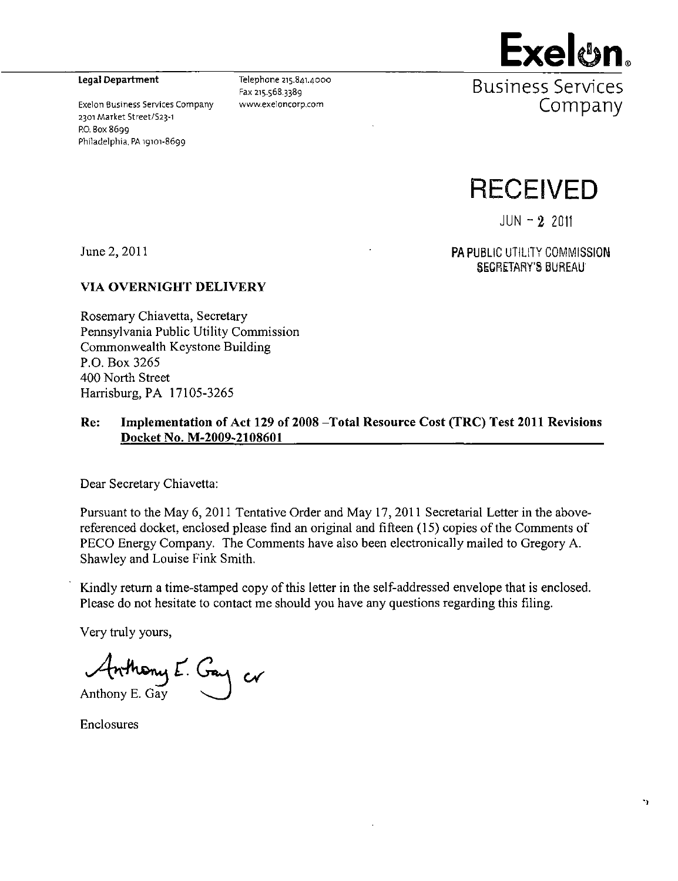2301 Market Street/S23~i ' ^ P.O. Box 8699 Philadelphia, PA 19101-8699



Legal Department  $\overline{P}_{\text{Pax 215.568.3389}}$   $\overline{P}_{\text{Ax 215.568.3389}}$ Exelon Business Services Company www.exeloncorp.com **COMDANY** 



 $JUN - 2 2011$ 

June 2, 2011 **PA PUBLIC UTILITY COMMISSION** SECRETARY'S BUREAU

#### **VIA OVERNIGHT DELIVERY**

Rosemary Chiavetta, Secretary Pennsylvania Public Utility Commission Commonwealth Keystone Building P.O. Box 3265 400 North Street Harrisburg, PA 17105-3265

#### **Re: Implementation of Act 129 of 2008 -Total Resource Cost (TRC) Test 2011 Revisions Docket No. M-2009~2108601**

Dear Secretary Chiavetta:

Pursuant to the May 6, 2011 Tentative Order and May 17, 2011 Secretarial Letter in the abovereferenced docket, enclosed please find an original and fifteen (15) copies of the Comments of PECO Energy Company. The Comments have also been electronically mailed to Gregory A. Shawley and Louise Fink Smith.

Kindly return a time-stamped copy of this letter in the self-addressed envelope that is enclosed. Please do not hesitate to contact me should you have any questions regarding this filing.

Very truly yours,

*or*  Anthony E. Gay

Enclosures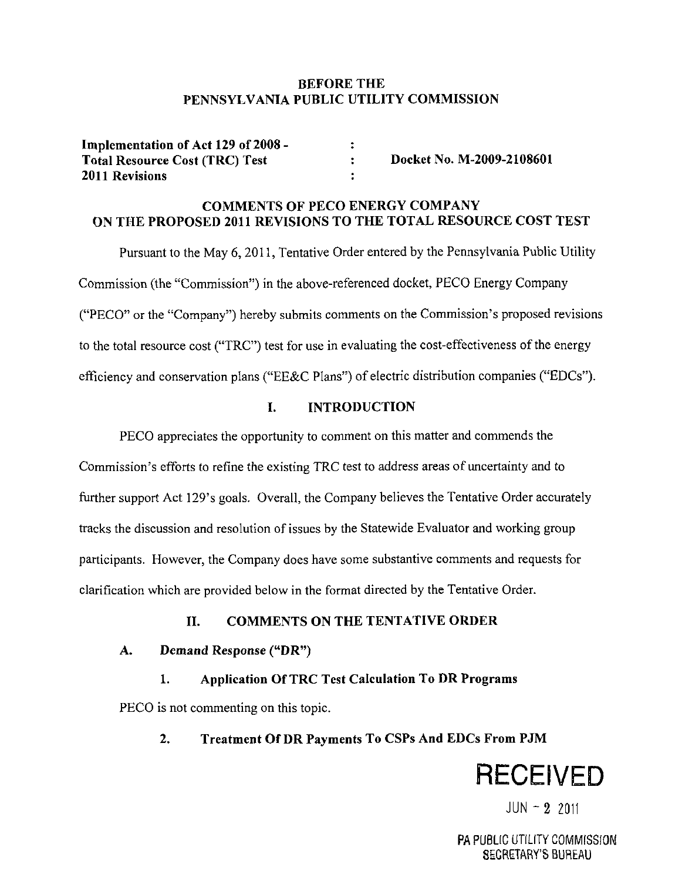#### **BEFORE THE PENNSYLVANIA PUBLIC UTILITY COMMISSION**

| Implementation of Act 129 of 2008 -   |                           |
|---------------------------------------|---------------------------|
| <b>Total Resource Cost (TRC) Test</b> | Docket No. M-2009-2108601 |
| <b>2011 Revisions</b>                 |                           |

## **COMMENTS OF PECO ENERGY COMPANY ON THE PROPOSED 2011 REVISIONS TO THE TOTAL RESOURCE COST TEST**

Pursuant to the May 6, 2011, Tentative Order entered by the Pennsylvania Public Utility Commission (the "Commission") in the above-referenced docket, PECO Energy Company ("PECO" or the "Company") hereby submits comments on the Commission's proposed revisions to the total resource cost ("TRC") test for use in evaluating the cost-effectiveness of the energy efficiency and conservation plans ("EE&C Plans") of electric distribution companies ("EDCs").

## **I. INTRODUCTION**

PECO appreciates the opportunity to comment on this matter and commends the Commission's efforts to refine the existing TRC test to address areas of uncertainty and to further support Act 129's goals. Overall, the Company believes the Tentative Order accurately tracks the discussion and resolution of issues by the Statewide Evaluator and working group participants. However, the Company does have some substantive comments and requests for clarification which are provided below in the format directed by the Tentative Order.

## **II. COMMENTS ON THE TENTATIVE ORDER**

## **A. Demand Response ("DR")**

## 1. Application Of TRC Test Calculation To DR Programs

PECO is not commenting on this topic.

## **2. Treatment Of DR Payments To CSPs And EDCs From PJM**



 $JUN - 2 2011$ 

PA PUBLIC UTILITY COMMISSION SECRETARY'S BUREAU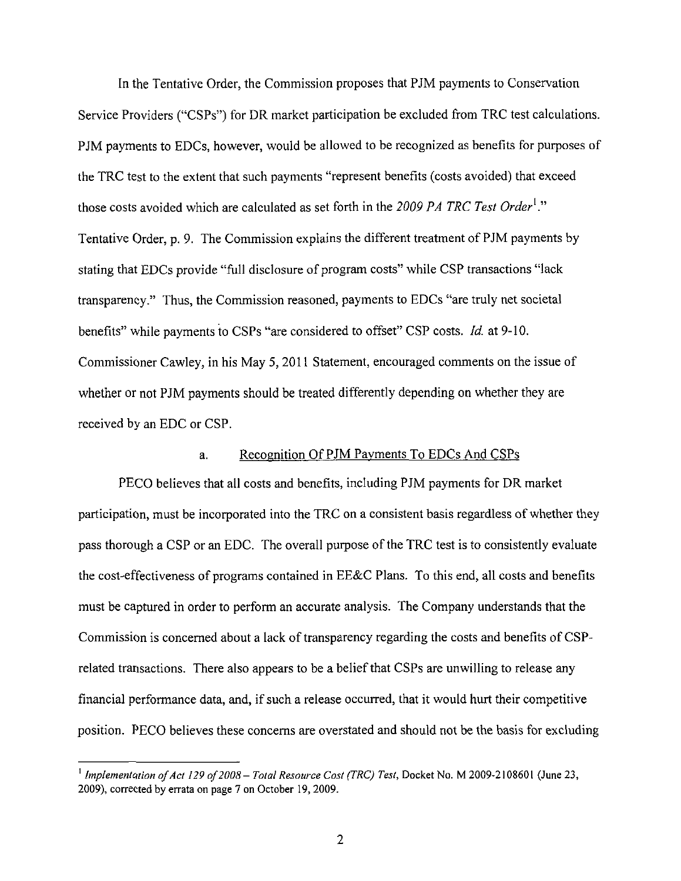In the Tentative Order, the Commission proposes that PJM payments to Conservation Service Providers ("CSPs") for DR market participation be excluded from TRC test calculations. PJM payments to EDCs, however, would be allowed to be recognized as benefits for purposes of the TRC test to the extent that such payments "represent benefits (costs avoided) that exceed those costs avoided which are calculated as set forth in the 2009 PA TRC Test Order<sup>1</sup>." Tentative Order, p. 9. The Commission explains the different treatment of PJM payments by stating that EDCs provide "full disclosure of program costs" while CSP transactions "lack transparency." Thus, the Commission reasoned, payments to EDCs "are truly net societal benefits" while payments to CSPs "are considered to offset" CSP costs. Id. at 9-10. Commissioner Cawley, in his May 5, 2011 Statement, encouraged comments on the issue of whether or not PJM payments should be treated differently depending on whether they are received by an EDC or CSP.

#### a. Recognition Of PJM Payments To EDCs And CSPs

PECO believes that all costs and benefits, including PJM payments for DR market participation, must be incorporated into the TRC on a consistent basis regardless of whether they pass thorough a CSP or an EDC. The overall purpose of the TRC test is to consistently evaluate the cost-effectiveness of programs contained in EE&C Plans. To this end, all costs and benefits must be captured in order to perform an accurate analysis. The Company understands that the Commission is concerned about a lack of transparency regarding the costs and benefits of CSPrelated transactions. There also appears to be a belief that CSPs are unwilling to release any financial performance data, and, if such a release occurred, that it would hurt their competitive position. PECO believes these concerns are overstated and should not be the basis for excluding

<sup>&</sup>lt;sup>1</sup> Implementation of Act 129 of 2008 – Total Resource Cost (TRC) Test, Docket No. M 2009-2108601 (June 23, 2009), corrected by errata on page 7 on October 19, 2009.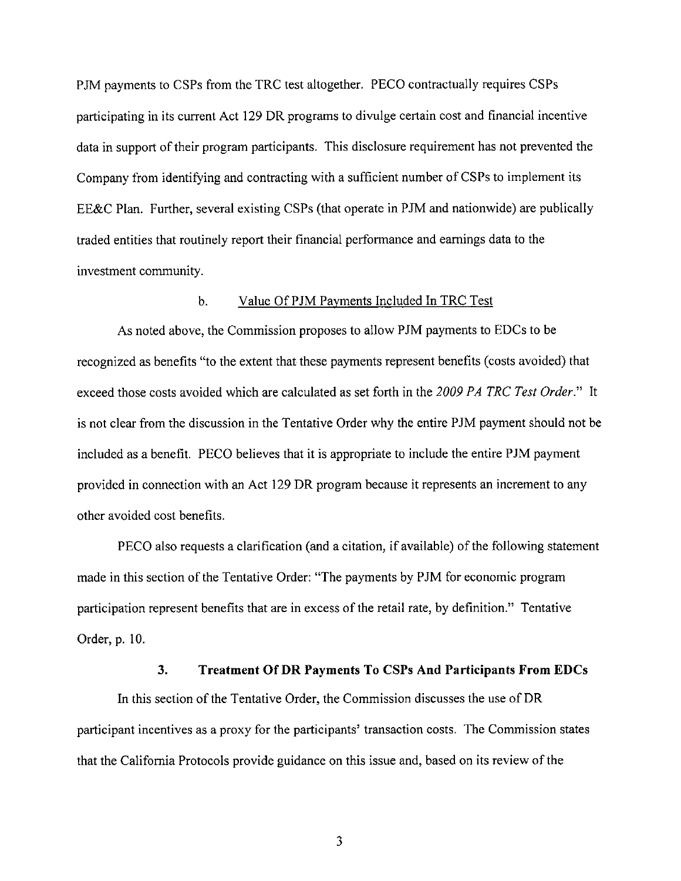PJM payments to CSPs from the TRC test altogether. PECO contractually requires CSPs participating in its current Act 129 DR programs to divulge certain cost and financial incentive data in support of their program participants. This disclosure requirement has not prevented the Company from identifying and contracting with a sufficient number of CSPs to implement its EE&C Plan. Further, several existing CSPs (that operate in PJM and nationwide) are publically traded entities that routinely report their financial performance and earnings data to the investment community.

#### b. Value Of PJM Payments Included In TRC Test

As noted above, the Commission proposes to allow PJM payments to EDCs to be recognized as benefits "to the extent that these payments represent benefits (costs avoided) that exceed those costs avoided which are calculated as set forth in the 2009 PA TRC Test Order." It is not clear from the discussion in the Tentative Order why the entire PJM payment should not be included as a benefit. PECO believes that it is appropriate to include the entire PJM payment provided in connection with an Act 129 DR program because it represents an increment to any other avoided cost benefits.

PECO also requests a clarification (and a citation, if available) of the following statement made in this section of the Tentative Order: "The payments by PJM for economic program participation represent benefits that are in excess of the retail rate, by definition." Tentative Order, p. 10.

#### **3. Treatment Of DR Payments To CSPs And Participants From EDCs**

In this section of the Tentative Order, the Commission discusses the use of DR participant incentives as a proxy for the participants' transaction costs. The Commission states that the California Protocols provide guidance on this issue and, based on its review of the

3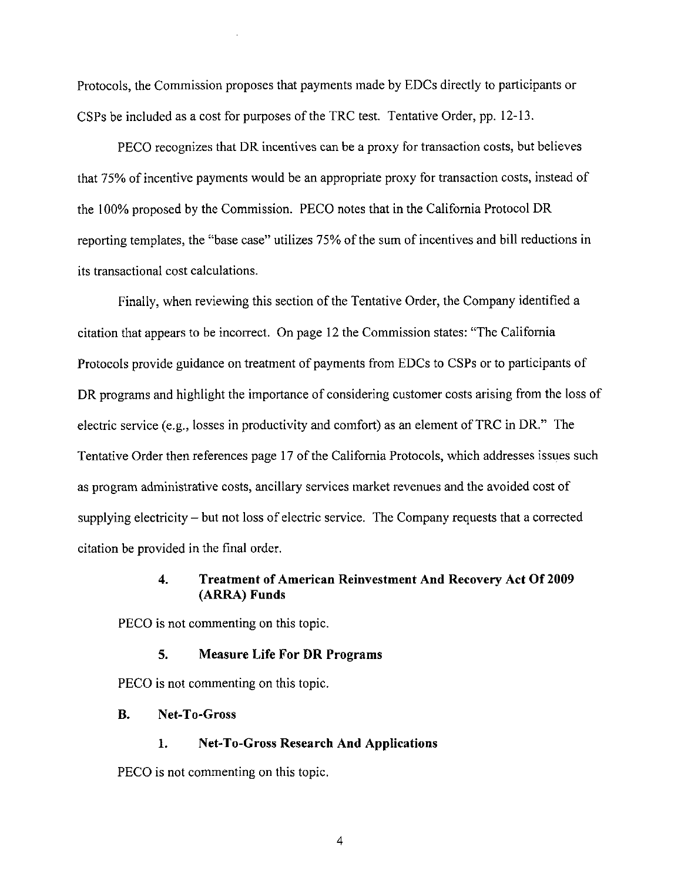Protocols, the Commission proposes that payments made by EDCs directly to participants or CSPs be included as a cost for purposes of the TRC test. Tentative Order, pp. 12-13.

PECO recognizes that DR incentives can be a proxy for transaction costs, but believes that 75% of incentive payments would be an appropriate proxy for transaction costs, instead of the 100% proposed by the Commission. PECO notes that in the California Protocol DR reporting templates, the "base case" utilizes 75% of the sum of incentives and bill reductions in its transactional cost calculations.

Finally, when reviewing this section of the Tentative Order, the Company identified a citation that appears to be incorrect. On page 12 the Commission states: "The California Protocols provide guidance on treatment of payments from EDCs to CSPs or to participants of DR programs and highlight the importance of considering customer costs arising from the loss of electric service (e.g., losses in productivity and comfort) as an element of TRC in DR." The Tentative Order then references page 17 of the California Protocols, which addresses issues such as program administrative costs, ancillary services market revenues and the avoided cost of supplying electricity - but not loss of electric service. The Company requests that a corrected citation be provided in the final order.

#### **4. Treatment of American Reinvestment And Recovery Act Of 2009 (ARRA) Funds**

PECO is not commenting on this topic.

#### 5. Measure Life For DR Programs

PECO is not commenting on this topic.

#### **B. Net-To-Gross**

1. Net-To-Gross Research And Applications

PECO is not commenting on this topic.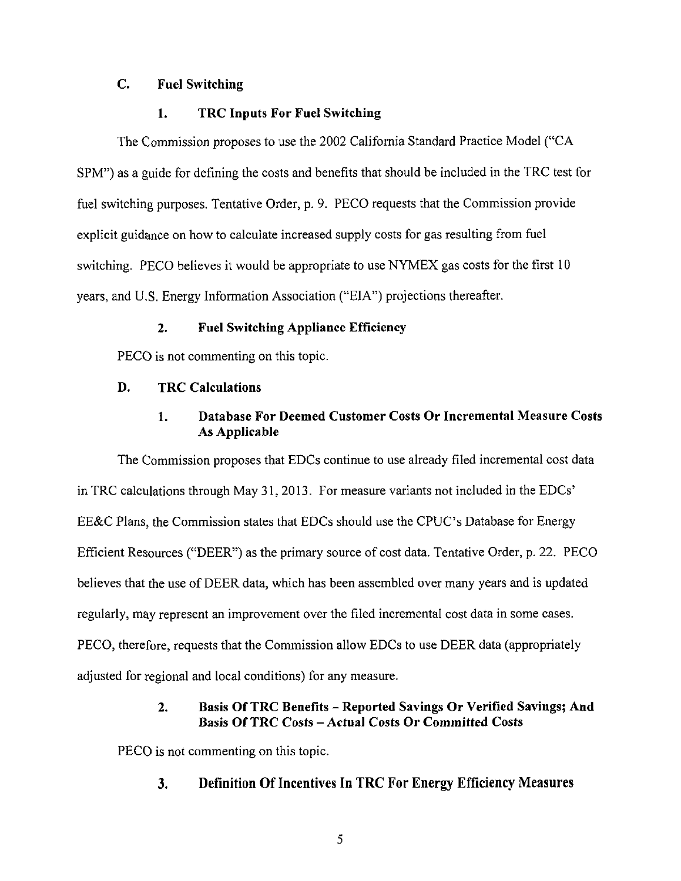#### **C. Fuel Switching**

#### **1. TRC Inputs For Fuel Switching**

The Commission proposes to use the 2002 California Standard Practice Model ("CA SPM") as a guide for defining the costs and benefits that should be included in the TRC test for fuel switching purposes. Tentative Order, p. 9. PECO requests that the Commission provide explicit guidance on how to calculate increased supply costs for gas resulting from fuel switching. PECO believes it would be appropriate to use NYMEX gas costs for the first 10 years, and U.S. Energy Information Association ("EIA") projections thereafter.

#### 2. Fuel Switching Appliance Efficiency

PECO is not commenting on this topic.

#### **D. TRC Calculations**

## **1. Database For Deemed Customer Costs Or Incremental Measure Costs As Applicable**

The Commission proposes that EDCs continue to use already filed incremental cost data in TRC calculations through May 31, 2013. For measure variants not included in the EDCs' EE&C Plans, the Commission states that EDCs should use the CPUC's Database for Energy Efficient Resources ("DEER") as the primary source of cost data. Tentative Order, p. 22. PECO believes that the use of DEER data, which has been assembled over many years and is updated regularly, may represent an improvement over the filed incremental cost data in some cases. PECO, therefore, requests that the Commission allow EDCs to use DEER data (appropriately adjusted for regional and local conditions) for any measure.

## **2. Basis Of TRC Benefits - Reported Savings Or Verified Savings; And Basis Of TRC Costs - Actual Costs Or Committed Costs**

PECO is not commenting on this topic.

## **3. Definition Of Incentives In TRC For Energy Efficiency Measures**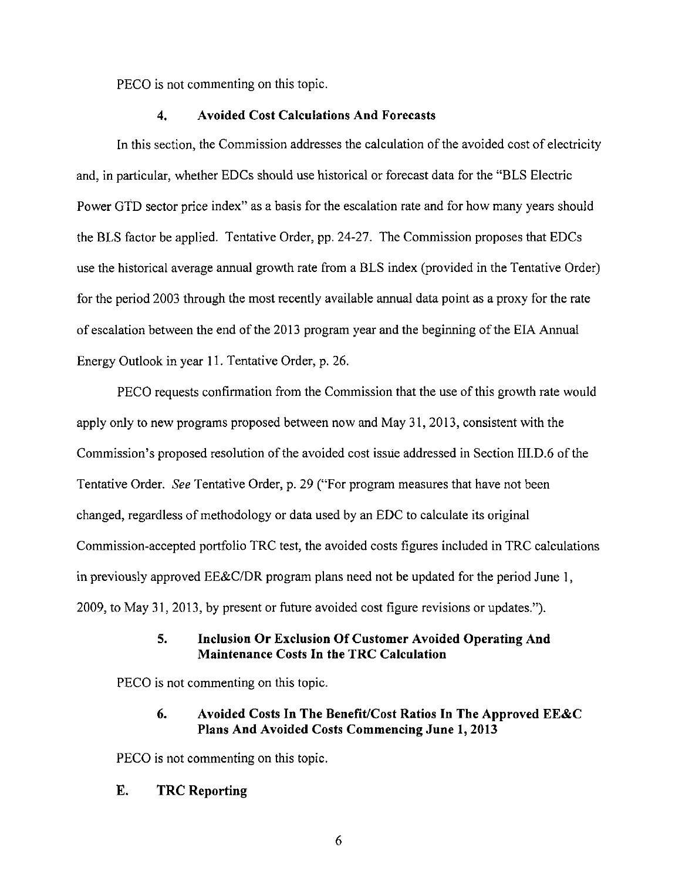PECO is not commenting on this topic.

#### **4. Avoided Cost Calculations And Forecasts**

In this section, the Commission addresses the calculation of the avoided cost of electricity and, in particular, whether EDCs should use historical or forecast data for the "BLS Electric Power GTD sector price index" as a basis for the escalation rate and for how many years should the BLS factor be applied. Tentative Order, pp. 24-27. The Commission proposes that EDCs use the historical average annual growth rate from a BLS index (provided in the Tentative Order) for the period 2003 through the most recently available annual data point as a proxy for the rate of escalation between the end of the 2013 program year and the beginning of the EIA Annual Energy Outlook in year 11. Tentative Order, p. 26.

PECO requests confirmation from the Commission that the use of this growth rate would apply only to new programs proposed between now and May 31, 2013, consistent with the Commission's proposed resolution of the avoided cost issue addressed in Section III.D.6 of the Tentative Order. See Tentative Order, p. 29 ("For program measures that have not been changed, regardless of methodology or data used by an EDC to calculate its original Commission-accepted portfolio TRC test, the avoided costs figures included in TRC calculations in previously approved EE&C/DR program plans need not be updated for the period June 1, 2009, to May 31, 2013, by present or future avoided cost figure revisions or updates.").

#### **5. Inclusion Or Exclusion Of Customer Avoided Operating And Maintenance Costs In the TRC Calculation**

PECO is not commenting on this topic.

## **6. Avoided Costs In The Benefit/Cost Ratios In The Approved EE&C Plans And Avoided Costs Commencing June 1, 2013**

**PECO is not commenting on this topic.** 

## **E. TRC Reporting**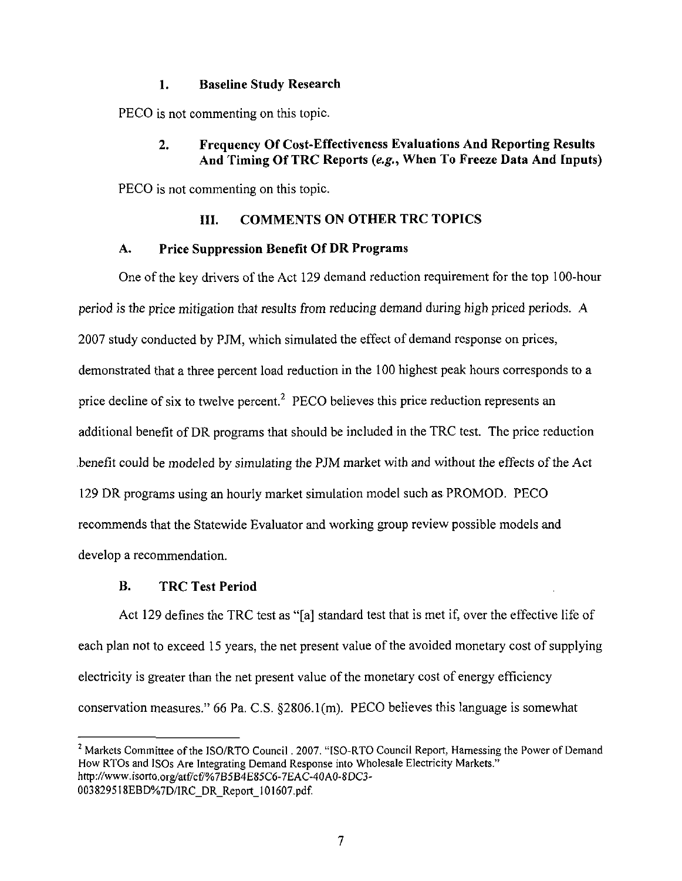#### **1. Baseline Study Research**

PEGO is not commenting on this topic.

## **2. Frequency Of Cost-Effectiveness Evaluations And Reporting Results And Timing Of TRC Reports (e.g.. When To Freeze Data And Inputs)**

PECO is not commenting on this topic.

## **III. COMMENTS ON OTHER TRC TOPICS**

#### **A. Price Suppression Benefit Of DR Programs**

One of the key drivers of the Act 129 demand reduction requirement for the top 100-hour period is the price mitigation that results from reducing demand during high priced periods. A 2007 study conducted by PJM, which simulated the effect of demand response on prices, demonstrated that a three percent load reduction in the 100 highest peak hours corresponds to a price decline of six to twelve percent.<sup>2</sup> PECO believes this price reduction represents an additional benefit of DR programs that should be included in the TRC test. The price reduction .benefit could be modeled by simulating the PJM market with and without the effects of the Act 129 DR programs using an hourly market simulation model such as PROMOD. PECO recommends that the Statewide Evaluator and working group review possible models and develop a recommendation.

## **B. TRC Test Period**

Act 129 defines the TRC test as "[a] standard test that is met if, over the effective life of each plan not to exceed 15 years, the net present value of the avoided monetary cost of supplying electricity is greater than the net present value of the monetary cost of energy efficiency conservation measures." 66 Pa. C.S. §2806. l(m). PECO believes this language is somewhat

<sup>&</sup>lt;sup>2</sup> Markets Committee of the ISO/RTO Council . 2007. "ISO-RTO Council Report, Harnessing the Power of Demand How RTOs and JSCs Are Integrating Demand Response into Wholesale Electricity Markets." http://www.isorto.org/atf/cf/%7B5B4E85C6-7EAC-40A0-8DC3-003829518EBD%7D/IRC\_DR\_Report\_l 01607.pdf.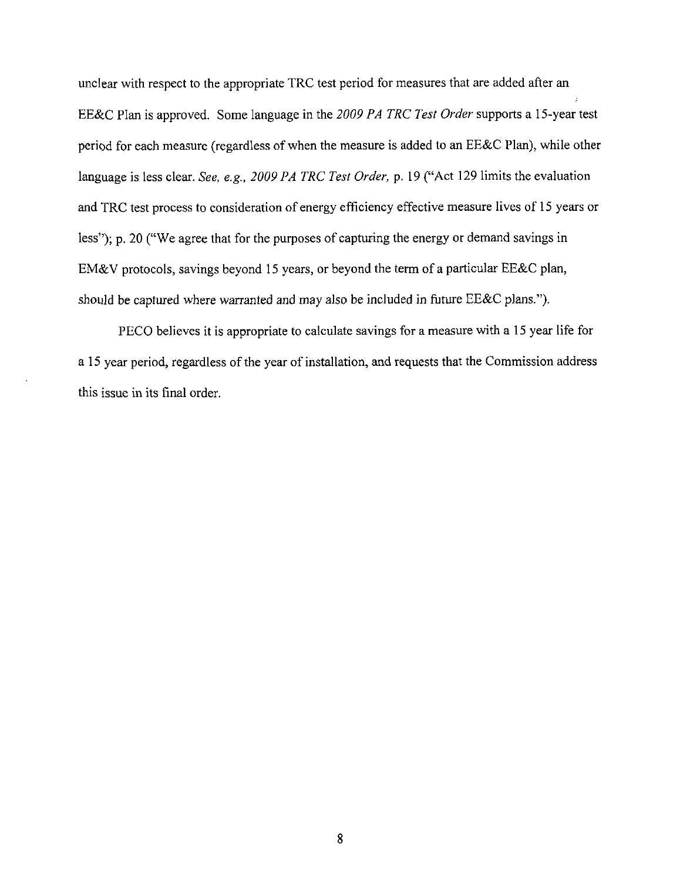unclear with respect to the appropriate TRC test period for measures that are added after an EE&C Plan is approved. Some language in the 2009 PA TRC Test Order supports a 15-year test period for each measure (regardless of when the measure is added to an EE&C Plan), while other language is less clear. See, e.g., 2009 PA TRC Test Order, p. 19 ("Act 129 limits the evaluation and TRC test process to consideration of energy efficiency effective measure lives of 15 years or less"); p. 20 ("We agree that for the purposes of capturing the energy or demand savings in EM&V protocols, savings beyond 15 years, or beyond the term of a particular EE&C plan, should be captured where warranted and may also be included in future EE&C plans.").

PECO believes it is appropriate to calculate savings for a measure with a 15 year life for a 15 year period, regardless of the year of installation, and requests that the Commission address this issue in its final order.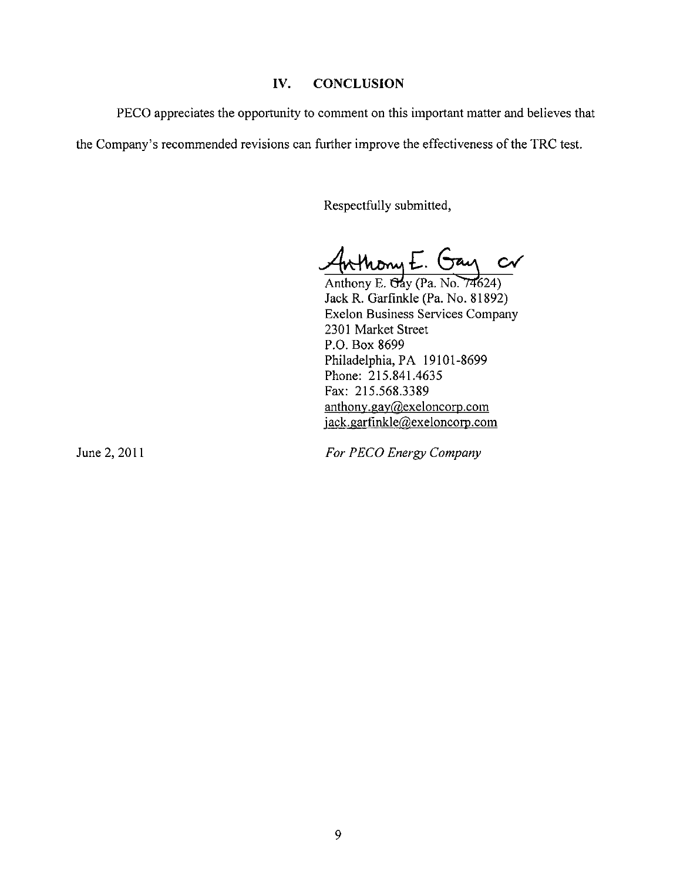#### **IV. CONCLUSION**

PECO appreciates the opportunity to comment on this important matter and believes that

the Company's recommended revisions can further improve the effectiveness of the TRC test.

Respectfully submitted,

thony E. Gay or

Anthony E.  $\overline{Oay}$  (Pa. No. 74624) Jack R. Garfmkle (Pa. No. 81892) Exelon Business Services Company 2301 Market Street P.O. Box 8699 Philadelphia, PA 19101-8699 Phone: 215.841.4635 Fax: 215.568.3389 anthony.gay@exeloncorp.com jack.garfinkle@exeloncorp.com

*June 2,2011 For PECO Energy Company*